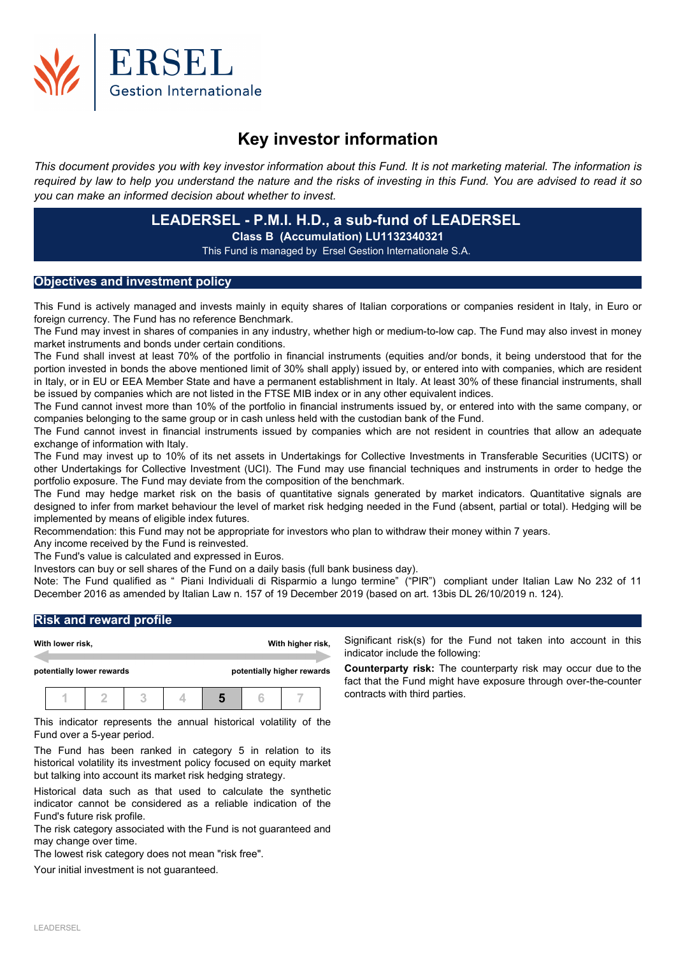

# **Key investor information**

This document provides you with key investor information about this Fund. It is not marketing material. The information is required by law to help you understand the nature and the risks of investing in this Fund. You are advised to read it so *you can make an informed decision about whether to invest.*

# **LEADERSEL - P.M.I. H.D., a sub-fund of LEADERSEL Class B (Accumulation) LU1132340321** This Fund is managed by Ersel Gestion Internationale S.A.

### **Objectives and investment policy**

This Fund is actively managed and invests mainly in equity shares of Italian corporations or companies resident in Italy, in Euro or foreign currency. The Fund has no reference Benchmark.

The Fund may invest in shares of companies in any industry, whether high or medium-to-low cap. The Fund may also invest in money market instruments and bonds under certain conditions.

The Fund shall invest at least 70% of the portfolio in financial instruments (equities and/or bonds, it being understood that for the portion invested in bonds the above mentioned limit of 30% shall apply) issued by, or entered into with companies, which are resident in Italy, or in EU or EEA Member State and have a permanent establishment in Italy. At least 30% of these financial instruments, shall be issued by companies which are not listed in the FTSE MIB index or in any other equivalent indices.

The Fund cannot invest more than 10% of the portfolio in financial instruments issued by, or entered into with the same company, or companies belonging to the same group or in cash unless held with the custodian bank of the Fund.

The Fund cannot invest in financial instruments issued by companies which are not resident in countries that allow an adequate exchange of information with Italy.

The Fund may invest up to 10% of its net assets in Undertakings for Collective Investments in Transferable Securities (UCITS) or other Undertakings for Collective Investment (UCI). The Fund may use financial techniques and instruments in order to hedge the portfolio exposure. The Fund may deviate from the composition of the benchmark.

The Fund may hedge market risk on the basis of quantitative signals generated by market indicators. Quantitative signals are designed to infer from market behaviour the level of market risk hedging needed in the Fund (absent, partial or total). Hedging will be implemented by means of eligible index futures.

Recommendation: this Fund may not be appropriate for investors who plan to withdraw their money within 7 years.

Any income received by the Fund is reinvested.

The Fund's value is calculated and expressed in Euros.

Investors can buy or sell shares of the Fund on a daily basis (full bank business day).

Note: The Fund qualified as " Piani Individuali di Risparmio a lungo termine" ("PIR") compliant under Italian Law No 232 of 11 December 2016 as amended by Italian Law n. 157 of 19 December 2019 (based on art. 13bis DL 26/10/2019 n. 124).

## **Risk and reward profile**

|                           | With lower risk, |  |                            |  | With higher risk, |  |  |  |
|---------------------------|------------------|--|----------------------------|--|-------------------|--|--|--|
| potentially lower rewards |                  |  | potentially higher rewards |  |                   |  |  |  |
|                           |                  |  |                            |  |                   |  |  |  |

This indicator represents the annual historical volatility of the Fund over a 5-year period.

The Fund has been ranked in category 5 in relation to its historical volatility its investment policy focused on equity market but talking into account its market risk hedging strategy.

Historical data such as that used to calculate the synthetic indicator cannot be considered as a reliable indication of the Fund's future risk profile.

The risk category associated with the Fund is not guaranteed and may change over time.

The lowest risk category does not mean "risk free".

Your initial investment is not guaranteed.

Significant risk(s) for the Fund not taken into account in this indicator include the following:

**Counterparty risk:** The counterparty risk may occur due to the fact that the Fund might have exposure through over-the-counter contracts with third parties.